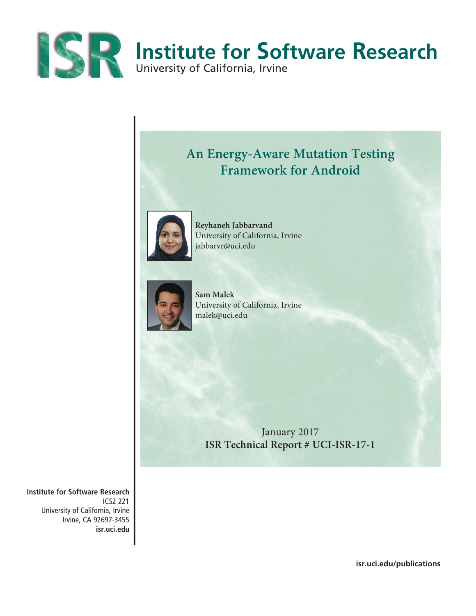

# **An Energy-Aware Mutation Testing Framework for Android**



**Reyhaneh Jabbarvand**  University of California, Irvine jabbarvr@uci.edu



**Sam Malek** University of California, Irvine malek@uci.edu

January 2017 **ISR Technical Report # UCI-ISR-17-1**

**Institute for Software Research** ICS2 221 University of California, Irvine Irvine, CA 92697-3455 **isr.uci.edu**

**isr.uci.edu/publications**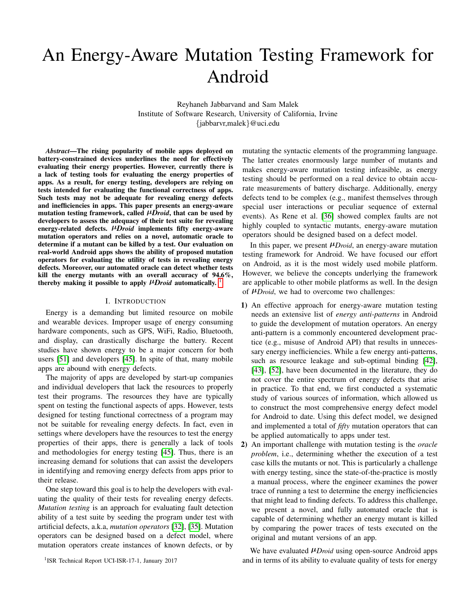# An Energy-Aware Mutation Testing Framework for Android

Reyhaneh Jabbarvand and Sam Malek Institute of Software Research, University of California, Irvine {jabbarvr,malek}@uci.edu

*Abstract*—The rising popularity of mobile apps deployed on battery-constrained devices underlines the need for effectively evaluating their energy properties. However, currently there is a lack of testing tools for evaluating the energy properties of apps. As a result, for energy testing, developers are relying on tests intended for evaluating the functional correctness of apps. Such tests may not be adequate for revealing energy defects and inefficiencies in apps. This paper presents an energy-aware mutation testing framework, called  $\mu D$ *roid*, that can be used by developers to assess the adequacy of their test suite for revealing energy-related defects. *µDroid* implements fifty energy-aware mutation operators and relies on a novel, automatic oracle to determine if a mutant can be killed by a test. Our evaluation on real-world Android apps shows the ability of proposed mutation operators for evaluating the utility of tests in revealing energy defects. Moreover, our automated oracle can detect whether tests kill the energy mutants with an overall accuracy of 94.6%, thereby making it possible to apply  $\mu$ *Droid* automatically.

#### I. INTRODUCTION

Energy is a demanding but limited resource on mobile and wearable devices. Improper usage of energy consuming hardware components, such as GPS, WiFi, Radio, Bluetooth, and display, can drastically discharge the battery. Recent studies have shown energy to be a major concern for both users [\[51\]](#page-11-0) and developers [\[45\]](#page-11-1). In spite of that, many mobile apps are abound with energy defects.

The majority of apps are developed by start-up companies and individual developers that lack the resources to properly test their programs. The resources they have are typically spent on testing the functional aspects of apps. However, tests designed for testing functional correctness of a program may not be suitable for revealing energy defects. In fact, even in settings where developers have the resources to test the energy properties of their apps, there is generally a lack of tools and methodologies for energy testing [\[45\]](#page-11-1). Thus, there is an increasing demand for solutions that can assist the developers in identifying and removing energy defects from apps prior to their release.

One step toward this goal is to help the developers with evaluating the quality of their tests for revealing energy defects. *Mutation testing* is an approach for evaluating fault detection ability of a test suite by seeding the program under test with artificial defects, a.k.a, *mutation operators* [\[32\]](#page-11-2), [\[35\]](#page-11-3). Mutation operators can be designed based on a defect model, where mutation operators create instances of known defects, or by

mutating the syntactic elements of the programming language. The latter creates enormously large number of mutants and makes energy-aware mutation testing infeasible, as energy testing should be performed on a real device to obtain accurate measurements of battery discharge. Additionally, energy defects tend to be complex (e.g., manifest themselves through special user interactions or peculiar sequence of external events). As Rene et al. [\[36\]](#page-11-4) showed complex faults are not highly coupled to syntactic mutants, energy-aware mutation operators should be designed based on a defect model.

In this paper, we present  $\mu_{\text{Droid}}$ , an energy-aware mutation testing framework for Android. We have focused our effort on Android, as it is the most widely used mobile platform. However, we believe the concepts underlying the framework are applicable to other mobile platforms as well. In the design of  $\mu$ *Droid*, we had to overcome two challenges:

- 1) An effective approach for energy-aware mutation testing needs an extensive list of *energy anti-patterns* in Android to guide the development of mutation operators. An energy anti-pattern is a commonly encountered development practice (e.g., misuse of Android API) that results in unnecessary energy inefficiencies. While a few energy anti-patterns, such as resource leakage and sub-optimal binding [\[42\]](#page-11-5), [\[43\]](#page-11-6), [\[52\]](#page-11-7), have been documented in the literature, they do not cover the entire spectrum of energy defects that arise in practice. To that end, we first conducted a systematic study of various sources of information, which allowed us to construct the most comprehensive energy defect model for Android to date. Using this defect model, we designed and implemented a total of *fifty* mutation operators that can be applied automatically to apps under test.
- 2) An important challenge with mutation testing is the *oracle problem*, i.e., determining whether the execution of a test case kills the mutants or not. This is particularly a challenge with energy testing, since the state-of-the-practice is mostly a manual process, where the engineer examines the power trace of running a test to determine the energy inefficiencies that might lead to finding defects. To address this challenge, we present a novel, and fully automated oracle that is capable of determining whether an energy mutant is killed by comparing the power traces of tests executed on the original and mutant versions of an app.

We have evaluated  $\mu$ *Droid* using open-source Android apps and in terms of its ability to evaluate quality of tests for energy

<span id="page-1-0"></span><sup>&</sup>lt;sup>1</sup>ISR Technical Report UCI-ISR-17-1, January 2017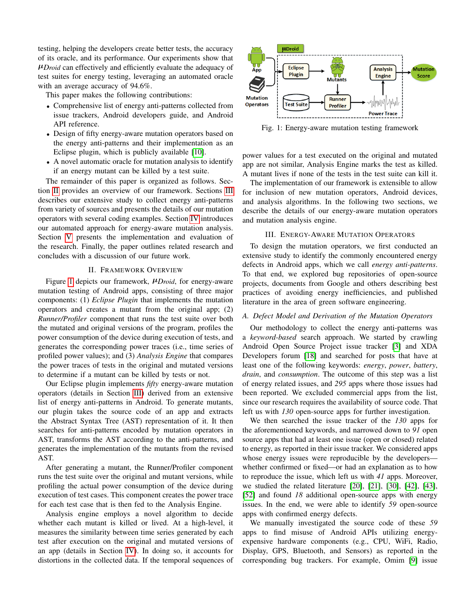testing, helping the developers create better tests, the accuracy of its oracle, and its performance. Our experiments show that µ*Droid* can effectively and efficiently evaluate the adequacy of test suites for energy testing, leveraging an automated oracle with an average accuracy of 94.6%.

This paper makes the following contributions:

- Comprehensive list of energy anti-patterns collected from issue trackers, Android developers guide, and Android API reference.
- Design of fifty energy-aware mutation operators based on the energy anti-patterns and their implementation as an Eclipse plugin, which is publicly available [\[10\]](#page-11-8).
- A novel automatic oracle for mutation analysis to identify if an energy mutant can be killed by a test suite.

The remainder of this paper is organized as follows. Section [II](#page-2-0) provides an overview of our framework. Sections [III](#page-2-1) describes our extensive study to collect energy anti-patterns from variety of sources and presents the details of our mutation operators with several coding examples. Section [IV](#page-6-0) introduces our automated approach for energy-aware mutation analysis. Section [V](#page-7-0) presents the implementation and evaluation of the research. Finally, the paper outlines related research and concludes with a discussion of our future work.

# II. FRAMEWORK OVERVIEW

<span id="page-2-0"></span>Figure [1](#page-2-2) depicts our framework,  $\mu$ *Droid*, for energy-aware mutation testing of Android apps, consisting of three major components: (1) *Eclipse Plugin* that implements the mutation operators and creates a mutant from the original app; (2) *Runner/Profiler* component that runs the test suite over both the mutated and original versions of the program, profiles the power consumption of the device during execution of tests, and generates the corresponding power traces (i.e., time series of profiled power values); and (3) *Analysis Engine* that compares the power traces of tests in the original and mutated versions to determine if a mutant can be killed by tests or not.

Our Eclipse plugin implements *fifty* energy-aware mutation operators (details in Section [III\)](#page-2-1) derived from an extensive list of energy anti-patterns in Android. To generate mutants, our plugin takes the source code of an app and extracts the Abstract Syntax Tree (AST) representation of it. It then searches for anti-patterns encoded by mutation operators in AST, transforms the AST according to the anti-patterns, and generates the implementation of the mutants from the revised AST.

After generating a mutant, the Runner/Profiler component runs the test suite over the original and mutant versions, while profiling the actual power consumption of the device during execution of test cases. This component creates the power trace for each test case that is then fed to the Analysis Engine.

Analysis engine employs a novel algorithm to decide whether each mutant is killed or lived. At a high-level, it measures the similarity between time series generated by each test after execution on the original and mutated versions of an app (details in Section [IV\)](#page-6-0). In doing so, it accounts for distortions in the collected data. If the temporal sequences of

<span id="page-2-2"></span>

Fig. 1: Energy-aware mutation testing framework

power values for a test executed on the original and mutated app are not similar, Analysis Engine marks the test as killed. A mutant lives if none of the tests in the test suite can kill it.

The implementation of our framework is extensible to allow for inclusion of new mutation operators, Android devices, and analysis algorithms. In the following two sections, we describe the details of our energy-aware mutation operators and mutation analysis engine.

# III. ENERGY-AWARE MUTATION OPERATORS

<span id="page-2-1"></span>To design the mutation operators, we first conducted an extensive study to identify the commonly encountered energy defects in Android apps, which we call *energy anti-patterns*. To that end, we explored bug repositories of open-source projects, documents from Google and others describing best practices of avoiding energy inefficiencies, and published literature in the area of green software engineering.

# *A. Defect Model and Derivation of the Mutation Operators*

Our methodology to collect the energy anti-patterns was a *keyword-based* search approach. We started by crawling Android Open Source Project issue tracker [\[3\]](#page-11-9) and XDA Developers forum [\[18\]](#page-11-10) and searched for posts that have at least one of the following keywords: *energy*, *power*, *battery*, *drain*, and *consumption*. The outcome of this step was a list of energy related issues, and *295* apps where those issues had been reported. We excluded commercial apps from the list, since our research requires the availability of source code. That left us with *130* open-source apps for further investigation.

We then searched the issue tracker of the *130* apps for the aforementioned keywords, and narrowed down to *91* open source apps that had at least one issue (open or closed) related to energy, as reported in their issue tracker. We considered apps whose energy issues were reproducible by the developerswhether confirmed or fixed—or had an explanation as to how to reproduce the issue, which left us with *41* apps. Moreover, we studied the related literature [\[20\]](#page-11-11), [\[21\]](#page-11-12), [\[30\]](#page-11-13), [\[42\]](#page-11-5), [\[43\]](#page-11-6), [\[52\]](#page-11-7) and found *18* additional open-source apps with energy issues. In the end, we were able to identify *59* open-source apps with confirmed energy defects.

We manually investigated the source code of these *59* apps to find misuse of Android APIs utilizing energyexpensive hardware components (e.g., CPU, WiFi, Radio, Display, GPS, Bluetooth, and Sensors) as reported in the corresponding bug trackers. For example, Omim [\[9\]](#page-11-14) issue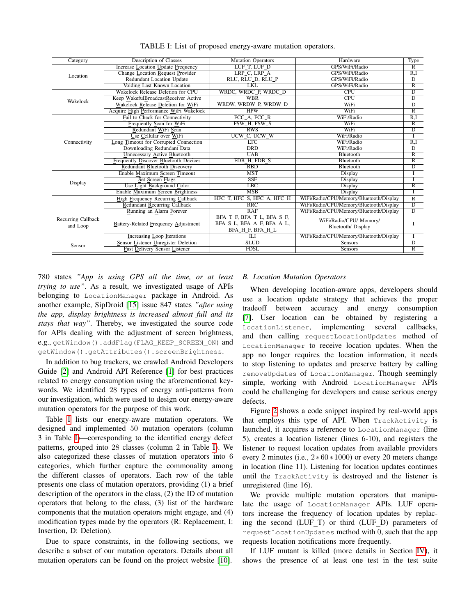<span id="page-3-0"></span>

| Category                       | Description of Classes                       | <b>Mutation Operators</b>                                                    | Hardware                                      | Type                    |  |  |  |
|--------------------------------|----------------------------------------------|------------------------------------------------------------------------------|-----------------------------------------------|-------------------------|--|--|--|
|                                | Increase Location Update Frequency           | LUF T, LUF D                                                                 | GPS/WiFi/Radio                                | $\overline{R}$          |  |  |  |
| Location                       | Change Location Request Provider             | LRP_C, LRP_A                                                                 | GPS/WiFi/Radio                                | R <sub>1</sub>          |  |  |  |
|                                | Redundant Location Update                    | RLU, RLU D, RLU P                                                            | GPS/WiFi/Radio                                | $\overline{D}$          |  |  |  |
|                                | Voiding Last Known Location                  | LKL.                                                                         | GPS/WiFi/Radio                                | $\overline{\mathbb{R}}$ |  |  |  |
|                                | Wakelock Release Deletion for CPU            | WRDC, WRDC_P, WRDC_D                                                         | CPU                                           | D                       |  |  |  |
| Wakelock                       | Keep WakefulBroadcastReceiver Active         | <b>WBR</b>                                                                   | <b>CPU</b>                                    | $\overline{\text{D}}$   |  |  |  |
|                                | Wakelock Release Deletion for WiFi           | WRDW, WRDW_P, WRDW_D                                                         | WiFi                                          |                         |  |  |  |
|                                | Acquire High Performance WiFi Wakelock       | <b>HPW</b>                                                                   | WiFi                                          | $\overline{R}$          |  |  |  |
|                                | Fail to Check for Connectivity               | FCC A, FCC R                                                                 | WiFi/Radio                                    | R <sub>1</sub>          |  |  |  |
|                                | Frequently Scan for WiFi                     | FSW_H, FSW_S                                                                 | WiFi                                          | $\overline{\texttt{R}}$ |  |  |  |
|                                | Redundant WiFi Scan                          | <b>RWS</b>                                                                   | WiFi                                          | D                       |  |  |  |
|                                | Use Cellular over WiFi                       | UCW_C, UCW_W                                                                 | WiFi/Radio                                    | R,I                     |  |  |  |
| Connectivity                   | Long Timeout for Corrupted Connection        | TTC                                                                          | WiFi/Radio                                    |                         |  |  |  |
|                                | Downloading Redundant Data                   | <b>DRD</b>                                                                   | WiFi/Radio                                    |                         |  |  |  |
|                                | Unnecessary Active Bluetooth                 | <b>UAB</b>                                                                   | Bluetooth                                     |                         |  |  |  |
|                                | <b>Frequently Discover Bluetooth Devices</b> | FDB_H, FDB_S                                                                 | Bluetooth                                     | $\overline{\mathbb{R}}$ |  |  |  |
|                                | <b>Redundant Bluetooth Discovery</b>         | <b>RBD</b>                                                                   | Bluetooth                                     | D                       |  |  |  |
|                                | Enable Maximum Screen Timeout                | <b>MST</b>                                                                   | Display                                       |                         |  |  |  |
| Display                        | Set Screen Flags                             | <b>SSF</b>                                                                   | Display                                       |                         |  |  |  |
|                                | Use Light Background Color                   | LBC                                                                          | <b>Display</b>                                | $\overline{\texttt{R}}$ |  |  |  |
|                                | <b>Enable Maximum Screen Brightness</b>      | <b>MSB</b>                                                                   | <b>Display</b>                                |                         |  |  |  |
|                                | High Frequency Recurring Callback            | HFC_T, HFC_S, HFC_A, HFC_H                                                   | WiFi/Radio/CPU/Memory/Bluetooth/Display       | $\mathbb{R}$            |  |  |  |
|                                | <b>Redundant Recurring Callback</b>          | RRC                                                                          | WiFi/Radio/CPU/Memory/Bluetooth/Display       | $\overline{\mathbb{D}}$ |  |  |  |
|                                | Running an Alarm Forever                     | RAF                                                                          | WiFi/Radio/CPU/Memory/Bluetooth/Display       | $\overline{D}$          |  |  |  |
| Recurring Callback<br>and Loop | Battery-Related Frequency Adjustment         | BFA_T_F, BFA_T_L, BFA_S_F,<br>BFA_S_L, BFA_A_F, BFA_A_L,<br>BFA_H_F, BFA_H_L | WiFi/Radio/CPU/ Memory/<br>Bluetooth/ Display |                         |  |  |  |
|                                | Increasing Loop Iterations                   | ш                                                                            | WiFi/Radio/CPU/Memory/Bluetooth/Display       |                         |  |  |  |
| Sensor                         | Sensor Listener Unregister Deletion          | <b>SLUD</b>                                                                  | <b>Sensors</b>                                | D                       |  |  |  |
|                                | Fast Delivery Sensor Listener                | <b>FDSL</b>                                                                  | <b>Sensors</b>                                | $\overline{\texttt{R}}$ |  |  |  |

TABLE I: List of proposed energy-aware mutation operators.

780 states *"App is using GPS all the time, or at least trying to use"*. As a result, we investigated usage of APIs belonging to LocationManager package in Android. As another example, SipDroid [\[15\]](#page-11-15) issue 847 states *"after using the app, display brightness is increased almost full and its stays that way"*. Thereby, we investigated the source code for APIs dealing with the adjustment of screen brightness, e.g., getWindow().addFlag(FLAG\_KEEP\_SCREEN\_ON) and getWindow().getAttributes().screenBrightness.

In addition to bug trackers, we crawled Android Developers Guide [\[2\]](#page-11-16) and Android API Reference [\[1\]](#page-11-17) for best practices related to energy consumption using the aforementioned keywords. We identified 28 types of energy anti-patterns from our investigation, which were used to design our energy-aware mutation operators for the purpose of this work.

Table [I](#page-3-0) lists our energy-aware mutation operators. We designed and implemented 50 mutation operators (column 3 in Table [I\)](#page-3-0)—corresponding to the identified energy defect patterns, grouped into 28 classes (column 2 in Table [I\)](#page-3-0). We also categorized these classes of mutation operators into 6 categories, which further capture the commonality among the different classes of operators. Each row of the table presents one class of mutation operators, providing (1) a brief description of the operators in the class, (2) the ID of mutation operators that belong to the class, (3) list of the hardware components that the mutation operators might engage, and (4) modification types made by the operators (R: Replacement, I: Insertion, D: Deletion).

Due to space constraints, in the following sections, we describe a subset of our mutation operators. Details about all mutation operators can be found on the project website [\[10\]](#page-11-8).

# *B. Location Mutation Operators*

When developing location-aware apps, developers should use a location update strategy that achieves the proper tradeoff between accuracy and energy consumption [\[7\]](#page-11-18). User location can be obtained by registering a LocationListener, implementing several callbacks, and then calling requestLocationUpdates method of LocationManager to receive location updates. When the app no longer requires the location information, it needs to stop listening to updates and preserve battery by calling removeUpdates of LocationManager. Though seemingly simple, working with Android LocationManager APIs could be challenging for developers and cause serious energy defects.

Figure [2](#page-4-0) shows a code snippet inspired by real-world apps that employs this type of API. When TrackActivity is launched, it acquires a reference to LocationManager (line 5), creates a location listener (lines 6-10), and registers the listener to request location updates from available providers every 2 minutes (i.e.,  $2*60*1000$ ) or every 20 meters change in location (line 11). Listening for location updates continues until the TrackActivity is destroyed and the listener is unregistered (line 16).

We provide multiple mutation operators that manipulate the usage of LocationManager APIs. LUF operators increase the frequency of location updates by replacing the second (LUF\_T) or third (LUF\_D) parameters of requestLocationUpdates method with 0, such that the app requests location notifications more frequently.

If LUF mutant is killed (more details in Section [IV\)](#page-6-0), it shows the presence of at least one test in the test suite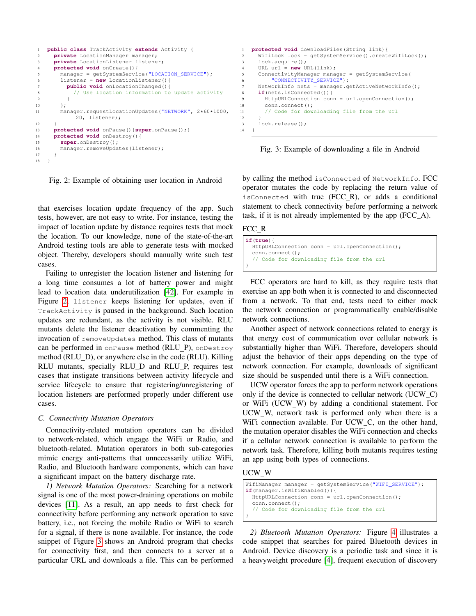```
1 public class TrackActivity extends Activity {
     private LocationManager manager;
     private LocationListener listener;
     4 protected void onCreate(){
       manager = getSystemService("LOCATION_SERVICE");
       6 listener = new LocationListener(){
         7 public void onLocationChanged(){
           // Use location information to update activity
         \rightarrow10 };
11 manager.requestLocationUpdates("NETWORK", 2*60*1000,
            20, listener);
12 }
13 protected void onPause(){super.onPause();}
14 protected void onDestroy(){
15 super.onDestroy();
16 manager.removeUpdates(listener);
17 }
18 }
```
Fig. 2: Example of obtaining user location in Android

that exercises location update frequency of the app. Such tests, however, are not easy to write. For instance, testing the impact of location update by distance requires tests that mock the location. To our knowledge, none of the state-of-the-art Android testing tools are able to generate tests with mocked object. Thereby, developers should manually write such test cases.

Failing to unregister the location listener and listening for a long time consumes a lot of battery power and might lead to location data underutilization [\[42\]](#page-11-5). For example in Figure [2,](#page-4-0) listener keeps listening for updates, even if TrackActivity is paused in the background. Such location updates are redundant, as the activity is not visible. RLU mutants delete the listener deactivation by commenting the invocation of removeUpdates method. This class of mutants can be performed in onPause method  $(RLU_P)$ , onDestroy method (RLU\_D), or anywhere else in the code (RLU). Killing RLU mutants, specially RLU\_D and RLU\_P, requires test cases that instigate transitions between activity lifecycle and service lifecycle to ensure that registering/unregistering of location listeners are performed properly under different use cases.

# *C. Connectivity Mutation Operators*

Connectivity-related mutation operators can be divided to network-related, which engage the WiFi or Radio, and bluetooth-related. Mutation operators in both sub-categories mimic energy anti-patterns that unnecessarily utilize WiFi, Radio, and Bluetooth hardware components, which can have a significant impact on the battery discharge rate.

*1) Network Mutation Operators:* Searching for a network signal is one of the most power-draining operations on mobile devices [\[11\]](#page-11-19). As a result, an app needs to first check for connectivity before performing any network operation to save battery, i.e., not forcing the mobile Radio or WiFi to search for a signal, if there is none available. For instance, the code snippet of Figure [3](#page-4-1) shows an Android program that checks for connectivity first, and then connects to a server at a particular URL and downloads a file. This can be performed

```
1 protected void downloadFiles(String link){
2 WifiLock lock = getSystemService().createWifiLock();
3 lock.acquire();
     URL url = new URL(link);5 ConnectivityManager manager = getSystemService(
6 "CONNECTIVITY_SERVICE");
     NetworkInfo nets = manager.getActiveNetworkInfo();
8 if(nets.isConnected()){
9 HttpURLConnection conn = url.openConnection();
10 conn.connect();
11 // Code for downloading file from the url
12 }
13 lock.release();
14 }
```
Fig. 3: Example of downloading a file in Android

by calling the method isConnected of NetworkInfo. FCC operator mutates the code by replacing the return value of isConnected with true  $(FCC_R)$ , or adds a conditional statement to check connectivity before performing a network task, if it is not already implemented by the app (FCC A).

#### FCC R

```
if(true){
  HttpURLConnection conn = url.openConnection();
  conn.connect();
  // Code for downloading file from the url
}
```
FCC operators are hard to kill, as they require tests that exercise an app both when it is connected to and disconnected from a network. To that end, tests need to either mock the network connection or programmatically enable/disable network connections.

Another aspect of network connections related to energy is that energy cost of communication over cellular network is substantially higher than WiFi. Therefore, developers should adjust the behavior of their apps depending on the type of network connection. For example, downloads of significant size should be suspended until there is a WiFi connection.

UCW operator forces the app to perform network operations only if the device is connected to cellular network (UCW C) or WiFi (UCW W) by adding a conditional statement. For UCW W, network task is performed only when there is a WiFi connection available. For UCW\_C, on the other hand, the mutation operator disables the WiFi connection and checks if a cellular network connection is available to perform the network task. Therefore, killing both mutants requires testing an app using both types of connections.

# UCW W

```
WifiManager manager = getSystemService("WIFI_SERVICE");
if(manager.isWifiEnabled()){
  HttpURLConnection conn = url.openConnection();
  conn.connect():
  // Code for downloading file from the url
}
```
*2) Bluetooth Mutation Operators:* Figure [4](#page-5-0) illustrates a code snippet that searches for paired Bluetooth devices in Android. Device discovery is a periodic task and since it is a heavyweight procedure [\[4\]](#page-11-20), frequent execution of discovery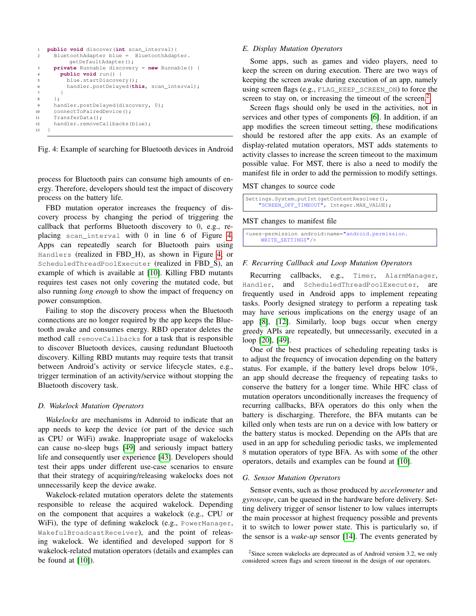```
1 public void discover(int scan_interval){
2 BluetoothAdapter blue = BluetoothAdapter.
         getDefaultAdapter();
     3 private Runnable discovery = new Runnable() {
4 public void run() {
5 blue.startDiscovery();
6 handler.postDelayed(this, scan_interval);
7 }
     8 };
9 handler.postDelayed(discovery, 0);
10 connectToPairedDevice();
11 TransferData();
12 handler.removeCallbacks(blue);
13 }
```
Fig. 4: Example of searching for Bluetooth devices in Android

process for Bluetooth pairs can consume high amounts of energy. Therefore, developers should test the impact of discovery process on the battery life.

FBD mutation operator increases the frequency of discovery process by changing the period of triggering the callback that performs Bluetooth discovery to 0, e.g., replacing scan\_interval with 0 in line 6 of Figure [4.](#page-5-0) Apps can repeatedly search for Bluetooth pairs using Handlers (realized in FBD H), as shown in Figure [4,](#page-5-0) or ScheduledThreadPoolExecuter (realized in FBD\_S), an example of which is available at [\[10\]](#page-11-8). Killing FBD mutants requires test cases not only covering the mutated code, but also running *long enough* to show the impact of frequency on power consumption.

Failing to stop the discovery process when the Bluetooth connections are no longer required by the app keeps the Bluetooth awake and consumes energy. RBD operator deletes the method call removeCallbacks for a task that is responsible to discover Bluetooth devices, causing redundant Bluetooth discovery. Killing RBD mutants may require tests that transit between Android's activity or service lifecycle states, e.g., trigger termination of an activity/service without stopping the Bluetooth discovery task.

# *D. Wakelock Mutation Operators*

*Wakelocks* are mechanisms in Adnroid to indicate that an app needs to keep the device (or part of the device such as CPU or WiFi) awake. Inappropriate usage of wakelocks can cause no-sleep bugs [\[49\]](#page-11-21) and seriously impact battery life and consequently user experience [\[43\]](#page-11-6). Developers should test their apps under different use-case scenarios to ensure that their strategy of acquiring/releasing wakelocks does not unnecessarily keep the device awake.

Wakelock-related mutation operators delete the statements responsible to release the acquired wakelock. Depending on the component that acquires a wakelock (e.g., CPU or WiFi), the type of defining wakelock (e.g., PowerManager, WakefulBroadcastReceiver), and the point of releasing wakelock. We identified and developed support for 8 wakelock-related mutation operators (details and examples can be found at [\[10\]](#page-11-8)).

#### *E. Display Mutation Operators*

Some apps, such as games and video players, need to keep the screen on during execution. There are two ways of keeping the screen awake during execution of an app, namely using screen flags (e.g., FLAG\_KEEP\_SCREEN\_ON) to force the screen to stay on, or increasing the timeout of the screen. $<sup>2</sup>$  $<sup>2</sup>$  $<sup>2</sup>$ </sup>

Screen flags should only be used in the activities, not in services and other types of components [\[6\]](#page-11-22). In addition, if an app modifies the screen timeout setting, these modifications should be restored after the app exits. As an example of display-related mutation operators, MST adds statements to activity classes to increase the screen timeout to the maximum possible value. For MST, there is also a need to modify the manifest file in order to add the permission to modify settings.

MST changes to source code

```
Settings.System.putInt(getContentResolver(),
    "SCREEN_OFF_TIMEOUT", Integer.MAX_VALUE);
```
#### MST changes to manifest file

<uses-permission android:name="android.permission. WRITE\_SETTINGS"/>

#### *F. Recurring Callback and Loop Mutation Operators*

Recurring callbacks, e.g., Timer, AlarmManager, Handler, and ScheduledThreadPoolExecuter, are frequently used in Android apps to implement repeating tasks. Poorly designed strategy to perform a repeating task may have serious implications on the energy usage of an app [\[8\]](#page-11-23), [\[12\]](#page-11-24). Similarly, loop bugs occur when energy greedy APIs are repeatedly, but unnecessarily, executed in a loop [\[20\]](#page-11-11), [\[49\]](#page-11-21).

One of the best practices of scheduling repeating tasks is to adjust the frequency of invocation depending on the battery status. For example, if the battery level drops below 10%, an app should decrease the frequency of repeating tasks to conserve the battery for a longer time. While HFC class of mutation operators unconditionally increases the frequency of recurring callbacks, BFA operators do this only when the battery is discharging. Therefore, the BFA mutants can be killed only when tests are run on a device with low battery or the battery status is mocked. Depending on the APIs that are used in an app for scheduling periodic tasks, we implemented 8 mutation operators of type BFA. As with some of the other operators, details and examples can be found at [\[10\]](#page-11-8).

#### *G. Sensor Mutation Operators*

Sensor events, such as those produced by *accelerometer* and *gyroscope*, can be queued in the hardware before delivery. Setting delivery trigger of sensor listener to low values interrupts the main processor at highest frequency possible and prevents it to switch to lower power state. This is particularly so, if the sensor is a *wake-up* sensor [\[14\]](#page-11-25). The events generated by

<span id="page-5-1"></span><sup>&</sup>lt;sup>2</sup>Since screen wakelocks are deprecated as of Android version 3.2, we only considered screen flags and screen timeout in the design of our operators.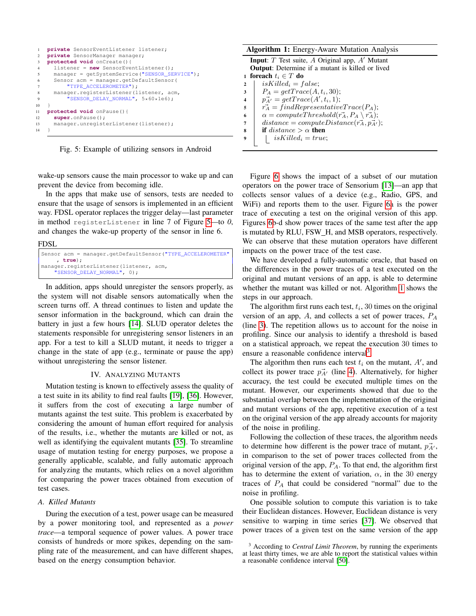```
private SensorEventListener listener;
   private SensorManager manager;
   3 protected void onCreate(){
     4 listener = new SensorEventListener();
     manager = getSystemService("SENSOR_SERVICE");
     Sensor acm = manager.getDefaultSensor(
          TYPE_ACCELEROMETER");
     manager.registerListener(listener, acm,
   "SENSOR_DELAY_NORMAL", 5*60*1e6);
10 }
11 protected void onPause(){
12 super.onPause();
13 manager.unregisterListener(listener);
14 }
```
Fig. 5: Example of utilizing sensors in Android

wake-up sensors cause the main processor to wake up and can prevent the device from becoming idle.

In the apps that make use of sensors, tests are needed to ensure that the usage of sensors is implemented in an efficient way. FDSL operator replaces the trigger delay—last parameter in method registerListener in line 7 of Figure [5—](#page-6-1)to *0*, and changes the wake-up property of the sensor in line 6.

FDSL

| Sensor acm = manager.getDefaultSensor("TYPE_ACCELEROMETER" |  |  |  |  |  |  |  |
|------------------------------------------------------------|--|--|--|--|--|--|--|
| , true);                                                   |  |  |  |  |  |  |  |
| manager.registerListener(listener, acm,                    |  |  |  |  |  |  |  |
| "SENSOR DELAY NORMAL", 0);                                 |  |  |  |  |  |  |  |

In addition, apps should unregister the sensors properly, as the system will not disable sensors automatically when the screen turns off. A thread continues to listen and update the sensor information in the background, which can drain the battery in just a few hours [\[14\]](#page-11-25). SLUD operator deletes the statements responsible for unregistering sensor listeners in an app. For a test to kill a SLUD mutant, it needs to trigger a change in the state of app (e.g., terminate or pause the app) without unregistering the sensor listener.

#### IV. ANALYZING MUTANTS

<span id="page-6-0"></span>Mutation testing is known to effectively assess the quality of a test suite in its ability to find real faults [\[19\]](#page-11-26), [\[36\]](#page-11-4). However, it suffers from the cost of executing a large number of mutants against the test suite. This problem is exacerbated by considering the amount of human effort required for analysis of the results, i.e., whether the mutants are killed or not, as well as identifying the equivalent mutants [\[35\]](#page-11-3). To streamline usage of mutation testing for energy purposes, we propose a generally applicable, scalable, and fully automatic approach for analyzing the mutants, which relies on a novel algorithm for comparing the power traces obtained from execution of test cases.

#### *A. Killed Mutants*

During the execution of a test, power usage can be measured by a power monitoring tool, and represented as a *power trace*—a temporal sequence of power values. A power trace consists of hundreds or more spikes, depending on the sampling rate of the measurement, and can have different shapes, based on the energy consumption behavior.

<span id="page-6-6"></span><span id="page-6-5"></span><span id="page-6-3"></span><span id="page-6-2"></span>

|              | <b>Algorithm 1:</b> Energy-Aware Mutation Analysis      |  |  |  |  |  |  |
|--------------|---------------------------------------------------------|--|--|--|--|--|--|
|              | <b>Input:</b> T Test suite, A Original app, $A'$ Mutant |  |  |  |  |  |  |
|              | <b>Output:</b> Determine if a mutant is killed or lived |  |  |  |  |  |  |
|              | 1 foreach $t_i \in T$ do                                |  |  |  |  |  |  |
| $\mathbf{2}$ | $isKilled_i = false;$                                   |  |  |  |  |  |  |
| 3            | $P_A = getTrace(A, t_i, 30);$                           |  |  |  |  |  |  |
| 4            | $\vec{p_{A'}} = getTrace(A', t_i, 1);$                  |  |  |  |  |  |  |
| 5            | $\vec{r_A} = findRepresentativeTrace(P_A);$             |  |  |  |  |  |  |
| 6            | $\alpha = computeThreshold(r_A, P_A \setminus r_A^2);$  |  |  |  |  |  |  |
|              | $distance = computeDistance(\vec{r_A}, \vec{p_{A'}});$  |  |  |  |  |  |  |
| 8            | if <i>distance</i> $> \alpha$ then                      |  |  |  |  |  |  |
| 9            | $isKilled_i = true;$                                    |  |  |  |  |  |  |

<span id="page-6-10"></span><span id="page-6-9"></span><span id="page-6-8"></span><span id="page-6-7"></span>Figure [6](#page-7-1) shows the impact of a subset of our mutation operators on the power trace of Sensorium [\[13\]](#page-11-27)—an app that collects sensor values of a device (e.g., Radio, GPS, and WiFi) and reports them to the user. Figure [6a](#page-7-1) is the power trace of executing a test on the original version of this app. Figures [6b](#page-7-1)-d show power traces of the same test after the app is mutated by RLU, FSW H, and MSB operators, respectively. We can observe that these mutation operators have different impacts on the power trace of the test case.

We have developed a fully-automatic oracle, that based on the differences in the power traces of a test executed on the original and mutant versions of an app, is able to determine whether the mutant was killed or not. Algorithm [1](#page-6-2) shows the steps in our approach.

The algorithm first runs each test,  $t_i$ , 30 times on the original version of an app,  $A$ , and collects a set of power traces,  $P_A$ (line [3\)](#page-6-3). The repetition allows us to account for the noise in profiling. Since our analysis to identify a threshold is based on a statistical approach, we repeat the execution 30 times to ensure a reasonable confidence interval<sup>[3](#page-6-4)</sup>.

The algorithm then runs each test  $t_i$  on the mutant,  $A'$ , and collect its power trace  $p_{A'}^{\dagger}$  (line [4\)](#page-6-5). Alternatively, for higher accuracy, the test could be executed multiple times on the mutant. However, our experiments showed that due to the substantial overlap between the implementation of the original and mutant versions of the app, repetitive execution of a test on the original version of the app already accounts for majority of the noise in profiling.

Following the collection of these traces, the algorithm needs to determine how different is the power trace of mutant,  $\vec{p}_{A'}$ , in comparison to the set of power traces collected from the original version of the app,  $P_A$ . To that end, the algorithm first has to determine the extent of variation,  $\alpha$ , in the 30 energy traces of  $P_A$  that could be considered "normal" due to the noise in profiling.

One possible solution to compute this variation is to take their Euclidean distances. However, Euclidean distance is very sensitive to warping in time series [\[37\]](#page-11-28). We observed that power traces of a given test on the same version of the app

<span id="page-6-4"></span><sup>3</sup> According to *Central Limit Theorem*, by running the experiments at least thirty times, we are able to report the statistical values within a reasonable confidence interval [\[50\]](#page-11-29).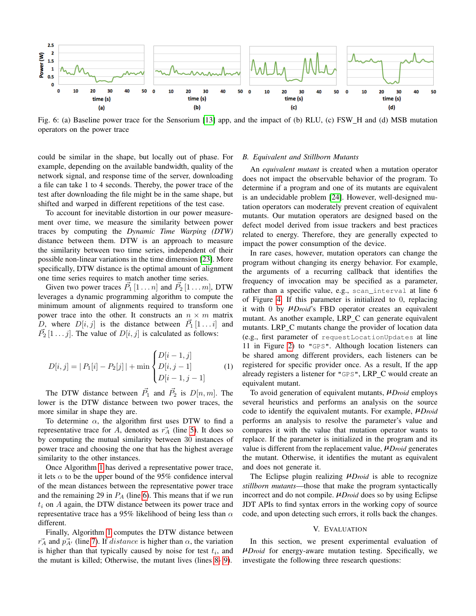<span id="page-7-1"></span>

Fig. 6: (a) Baseline power trace for the Sensorium [\[13\]](#page-11-27) app, and the impact of (b) RLU, (c) FSW\_H and (d) MSB mutation operators on the power trace

could be similar in the shape, but locally out of phase. For example, depending on the available bandwidth, quality of the network signal, and response time of the server, downloading a file can take 1 to 4 seconds. Thereby, the power trace of the test after downloading the file might be in the same shape, but shifted and warped in different repetitions of the test case.

To account for inevitable distortion in our power measurement over time, we measure the similarity between power traces by computing the *Dynamic Time Warping (DTW)* distance between them. DTW is an approach to measure the similarity between two time series, independent of their possible non-linear variations in the time dimension [\[23\]](#page-11-30). More specifically, DTW distance is the optimal amount of alignment one time series requires to match another time series.

Given two power traces  $\vec{P}_1$  [1 . . . n] and  $\vec{P}_2$  [1 . . . m], DTW leverages a dynamic programming algorithm to compute the minimum amount of alignments required to transform one power trace into the other. It constructs an  $n \times m$  matrix D, where  $D[i, j]$  is the distance between  $\vec{P}_1[1 \dots i]$  and  $\vec{P}_2$  [1 . . . j]. The value of  $D[i, j]$  is calculated as follows:

$$
D[i,j] = |P_1[i] - P_2[j]| + \min \begin{cases} D[i-1,j] \\ D[i,j-1] \\ D[i-1,j-1] \end{cases} (1)
$$

The DTW distance between  $\vec{P_1}$  and  $\vec{P_2}$  is  $D[n,m]$ . The lower is the DTW distance between two power traces, the more similar in shape they are.

To determine  $\alpha$ , the algorithm first uses DTW to find a representative trace for A, denoted as  $\vec{r}_A$  (line [5\)](#page-6-6). It does so by computing the mutual similarity between 30 instances of power trace and choosing the one that has the highest average similarity to the other instances.

Once Algorithm [1](#page-6-2) has derived a representative power trace, it lets  $\alpha$  to be the upper bound of the 95% confidence interval of the mean distances between the representative power trace and the remaining 29 in  $P_A$  (line [6\)](#page-6-7). This means that if we run  $t_i$  on A again, the DTW distance between its power trace and representative trace has a 95% likelihood of being less than  $\alpha$ different.

Finally, Algorithm [1](#page-6-2) computes the DTW distance between  $\vec{r}_A$  and  $\vec{p}_{A'}$  (line [7\)](#page-6-8). If *distance* is higher than  $\alpha$ , the variation is higher than that typically caused by noise for test  $t_i$ , and the mutant is killed; Otherwise, the mutant lives (lines [8-](#page-6-9) [9\)](#page-6-10).

## *B. Equivalent and Stillborn Mutants*

An *equivalent mutant* is created when a mutation operator does not impact the observable behavior of the program. To determine if a program and one of its mutants are equivalent is an undecidable problem [\[24\]](#page-11-31). However, well-designed mutation operators can moderately prevent creation of equivalent mutants. Our mutation operators are designed based on the defect model derived from issue trackers and best practices related to energy. Therefore, they are generally expected to impact the power consumption of the device.

In rare cases, however, mutation operators can change the program without changing its energy behavior. For example, the arguments of a recurring callback that identifies the frequency of invocation may be specified as a parameter, rather than a specific value, e.g., scan\_interval at line 6 of Figure [4.](#page-5-0) If this parameter is initialized to 0, replacing it with 0 by µ*Droid*'s FBD operator creates an equivalent mutant. As another example, LRP C can generate equivalent mutants. LRP\_C mutants change the provider of location data (e.g., first parameter of requestLocationUpdates at line 11 in Figure [2\)](#page-4-0) to "GPS". Although location listeners can be shared among different providers, each listeners can be registered for specific provider once. As a result, If the app already registers a listener for "GPS", LRP\_C would create an equivalent mutant.

To avoid generation of equivalent mutants,  $\mu$ *Droid* employs several heuristics and performs an analysis on the source code to identify the equivalent mutants. For example,  $\mu D$ *roid* performs an analysis to resolve the parameter's value and compares it with the value that mutation operator wants to replace. If the parameter is initialized in the program and its value is different from the replacement value,  $\mu D$ *roid* generates the mutant. Otherwise, it identifies the mutant as equivalent and does not generate it.

The Eclipse plugin realizing  $\mu$ *Droid* is able to recognize *stillborn mutants*—those that make the program syntactically incorrect and do not compile. *µDroid* does so by using Eclipse JDT APIs to find syntax errors in the working copy of source code, and upon detecting such errors, it rolls back the changes.

# V. EVALUATION

<span id="page-7-0"></span>In this section, we present experimental evaluation of µ*Droid* for energy-aware mutation testing. Specifically, we investigate the following three research questions: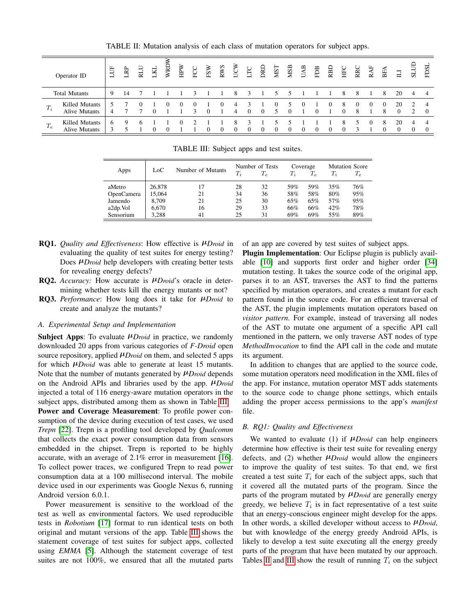<span id="page-8-1"></span>

|       | Operator ID                     | Б      | <b>RP</b> | 리 | <b>z</b> | NRI | HPW | ECC          | ESW | S<br>RW  | ⋧<br>Š   | LTC            | Q              | <b>NST</b> | <b>MSB</b> | UAB      | FDB      | RBD            | Ě        | <b>RC</b> | 보<br>≃ | EŘ            | $\Box$         | 弖<br>5L       | FDSL     |
|-------|---------------------------------|--------|-----------|---|----------|-----|-----|--------------|-----|----------|----------|----------------|----------------|------------|------------|----------|----------|----------------|----------|-----------|--------|---------------|----------------|---------------|----------|
|       | <b>Total Mutants</b>            | 9      | 14        |   |          |     |     |              |     |          | 8        |                |                |            |            |          |          |                | 8        | 8         |        | 8             | 20             |               |          |
| $T_i$ | Killed Mutants<br>Alive Mutants | 4      |           |   | $\Omega$ |     |     | $\mathbf{R}$ |     |          | 4<br>4   | $\Omega$       | $\overline{0}$ | 5.         | $\Omega$   |          |          |                | $\Omega$ | 8         |        | $\theta$<br>8 | 20<br>$\Omega$ | $\mathcal{L}$ | $\Omega$ |
| $T_e$ | Killed Mutants<br>Alive Mutants | 6<br>3 |           |   | 0        |     |     |              |     | $\Omega$ | $\Omega$ | $\overline{0}$ | $\overline{0}$ | $\Omega$   | $\Omega$   | $\Omega$ | $\Omega$ | $\overline{0}$ | $\Omega$ |           |        | 8<br>$\Omega$ | 20<br>$\Omega$ | $\Omega$      | $\Omega$ |

TABLE II: Mutation analysis of each class of mutation operators for subject apps.

<span id="page-8-0"></span>Apps LoC Number of Mutants Number of Tests Coverage Mutation Score  $T_i$   $T_e$   $T_i$   $T_e$   $T_i$   $T_e$ aMetro 26,878 17 28 32 59% 59% 35% 76% OpenCamera 15,064 21 34 36 58% 58% 80% 95%<br>Jamendo 8,709 21 25 30 65% 65% 57% 95% Jamendo 8,709 21 25 30 65% 65% 57% 95% a2dp.Vol 6,670 16 29 33 66% 66% 42% 78% Sensorium 3,288 41 25 31 69% 69% 55% 89%

TABLE III: Subject apps and test suites.

- RQ1. *Quality and Effectiveness*: How effective is *µDroid* in evaluating the quality of test suites for energy testing? Does *µDroid* help developers with creating better tests for revealing energy defects?
- RQ2. *Accuracy:* How accurate is *µDroid's* oracle in determining whether tests kill the energy mutants or not?
- RQ3. Performance: How long does it take for  $\mu$ *Droid* to create and analyze the mutants?

# *A. Experimental Setup and Implementation*

**Subject Apps:** To evaluate  $\mu$ *Droid* in practice, we randomly downloaded 20 apps from various categories of *F-Droid* open source repository, applied  $\mu$ *Droid* on them, and selected 5 apps for which *µDroid* was able to generate at least 15 mutants. Note that the number of mutants generated by  $\mu_{Droid}$  depends on the Android APIs and libraries used by the app.  $\mu$ *Droid* injected a total of 116 energy-aware mutation operators in the subject apps, distributed among them as shown in Table [III.](#page-8-0)

Power and Coverage Measurement: To profile power consumption of the device during execution of test cases, we used *Trepn* [\[22\]](#page-11-32). Trepn is a profiling tool developed by *Qualcomm* that collects the exact power consumption data from sensors embedded in the chipset. Trepn is reported to be highly accurate, with an average of 2.1% error in measurement [\[16\]](#page-11-33). To collect power traces, we configured Trepn to read power consumption data at a 100 millisecond interval. The mobile device used in our experiments was Google Nexus 6, running Android version 6.0.1.

Power measurement is sensitive to the workload of the test as well as environmental factors. We used reproducible tests in *Robotium* [\[17\]](#page-11-34) format to run identical tests on both original and mutant versions of the app. Table [III](#page-8-0) shows the statement coverage of test suites for subject apps, collected using *EMMA* [\[5\]](#page-11-35). Although the statement coverage of test suites are not 100%, we ensured that all the mutated parts of an app are covered by test suites of subject apps.

Plugin Implementation: Our Eclipse plugin is publicly available [\[10\]](#page-11-8) and supports first order and higher order [\[34\]](#page-11-36) mutation testing. It takes the source code of the original app, parses it to an AST, traverses the AST to find the patterns specified by mutation operators, and creates a mutant for each pattern found in the source code. For an efficient traversal of the AST, the plugin implements mutation operators based on *visitor pattern*. For example, instead of traversing all nodes of the AST to mutate one argument of a specific API call mentioned in the pattern, we only traverse AST nodes of type *MethodInvocation* to find the API call in the code and mutate its argument.

In addition to changes that are applied to the source code, some mutation operators need modification in the XML files of the app. For instance, mutation operator MST adds statements to the source code to change phone settings, which entails adding the proper access permissions to the app's *manifest* file.

# *B. RQ1: Quality and Effectiveness*

We wanted to evaluate  $(1)$  if  $\mu$ *Droid* can help engineers determine how effective is their test suite for revealing energy defects, and (2) whether  $\mu_{Droid}$  would allow the engineers to improve the quality of test suites. To that end, we first created a test suite  $T_i$  for each of the subject apps, such that it covered all the mutated parts of the program. Since the parts of the program mutated by  $\mu$ *Droid* are generally energy greedy, we believe  $T_i$  is in fact representative of a test suite that an energy-conscious engineer might develop for the apps. In other words, a skilled developer without access to  $\mu_{Droid}$ , but with knowledge of the energy greedy Android APIs, is likely to develop a test suite executing all the energy greedy parts of the program that have been mutated by our approach. Tables [II](#page-8-1) and [III](#page-8-0) show the result of running  $T_i$  on the subject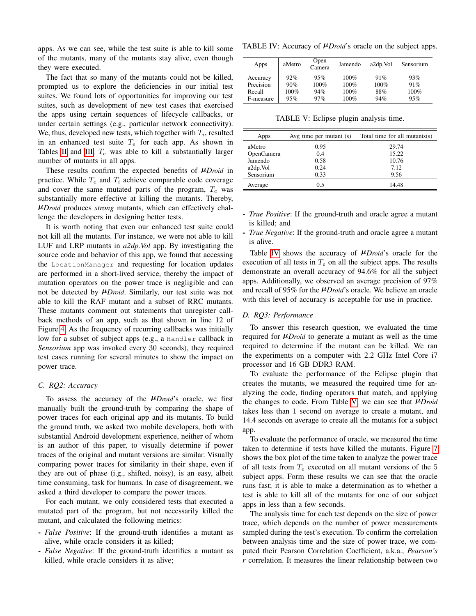apps. As we can see, while the test suite is able to kill some of the mutants, many of the mutants stay alive, even though they were executed.

The fact that so many of the mutants could not be killed, prompted us to explore the deficiencies in our initial test suites. We found lots of opportunities for improving our test suites, such as development of new test cases that exercised the apps using certain sequences of lifecycle callbacks, or under certain settings (e.g., particular network connectivity). We, thus, developed new tests, which together with  $T_i$ , resulted in an enhanced test suite  $T_e$  for each app. As shown in Tables [II](#page-8-1) and [III,](#page-8-0)  $T_e$  was able to kill a substantially larger number of mutants in all apps.

These results confirm the expected benefits of *µDroid* in practice. While  $T_e$  and  $T_i$  achieve comparable code coverage and cover the same mutated parts of the program,  $T_e$  was substantially more effective at killing the mutants. Thereby, µ*Droid* produces *strong* mutants, which can effectively challenge the developers in designing better tests.

It is worth noting that even our enhanced test suite could not kill all the mutants. For instance, we were not able to kill LUF and LRP mutants in *a2dp.Vol* app. By investigating the source code and behavior of this app, we found that accessing the LocationManager and requesting for location updates are performed in a short-lived service, thereby the impact of mutation operators on the power trace is negligible and can not be detected by *µDroid*. Similarly, our test suite was not able to kill the RAF mutant and a subset of RRC mutants. These mutants comment out statements that unregister callback methods of an app, such as that shown in line 12 of Figure [4.](#page-5-0) As the frequency of recurring callbacks was initially low for a subset of subject apps (e.g., a Handler callback in *Sensorium* app was invoked every 30 seconds), they required test cases running for several minutes to show the impact on power trace.

#### *C. RQ2: Accuracy*

To assess the accuracy of the  $\mu$ *Droid*'s oracle, we first manually built the ground-truth by comparing the shape of power traces for each original app and its mutants. To build the ground truth, we asked two mobile developers, both with substantial Android development experience, neither of whom is an author of this paper, to visually determine if power traces of the original and mutant versions are similar. Visually comparing power traces for similarity in their shape, even if they are out of phase (i.g., shifted, noisy), is an easy, albeit time consuming, task for humans. In case of disagreement, we asked a third developer to compare the power traces.

For each mutant, we only considered tests that executed a mutated part of the program, but not necessarily killed the mutant, and calculated the following metrics:

- *False Positive*: If the ground-truth identifies a mutant as alive, while oracle considers it as killed;
- *False Negative*: If the ground-truth identifies a mutant as killed, while oracle considers it as alive;

<span id="page-9-0"></span>TABLE IV: Accuracy of *µDroid*'s oracle on the subject apps.

| Apps                            | aMetro                | Open<br>Camera     | Jamendo              | a2dp.Vol           | Sensorium          |
|---------------------------------|-----------------------|--------------------|----------------------|--------------------|--------------------|
| Accuracy<br>Precision<br>Recall | 92%<br>90%<br>$100\%$ | 95%<br>100%<br>94% | 100%<br>100%<br>100% | 91%<br>100%<br>88% | 93%<br>91%<br>100% |
| F-measure                       | 95%                   | 97%                | 100%                 | 94%                | 95%                |

TABLE V: Eclipse plugin analysis time.

<span id="page-9-1"></span>

| Apps       | Avg time per mutant $(s)$ | Total time for all mutants(s) |
|------------|---------------------------|-------------------------------|
| aMetro     | 0.95                      | 29.74                         |
| OpenCamera | 0.4                       | 15.22                         |
| Jamendo    | 0.58                      | 10.76                         |
| a2dp.Vol   | 0.24                      | 7.12                          |
| Sensorium  | 0.33                      | 9.56                          |
| Average    | 0.5                       | 14.48                         |

- *True Positive*: If the ground-truth and oracle agree a mutant is killed; and
- *True Negative*: If the ground-truth and oracle agree a mutant is alive.

Table [IV](#page-9-0) shows the accuracy of  $\mu D$ *roid*'s oracle for the execution of all tests in  $T_e$  on all the subject apps. The results demonstrate an overall accuracy of 94.6% for all the subject apps. Additionally, we observed an average precision of 97% and recall of 95% for the  $\mu D$ *roid*'s oracle. We believe an oracle with this level of accuracy is acceptable for use in practice.

# *D. RQ3: Performance*

To answer this research question, we evaluated the time required for  $\mu_{Droid}$  to generate a mutant as well as the time required to determine if the mutant can be killed. We ran the experiments on a computer with 2.2 GHz Intel Core i7 processor and 16 GB DDR3 RAM.

To evaluate the performance of the Eclipse plugin that creates the mutants, we measured the required time for analyzing the code, finding operators that match, and applying the changes to code. From Table [V,](#page-9-1) we can see that  $\mu D$ *roid* takes less than 1 second on average to create a mutant, and 14.4 seconds on average to create all the mutants for a subject app.

To evaluate the performance of oracle, we measured the time taken to determine if tests have killed the mutants. Figure [7](#page-10-0) shows the box plot of the time taken to analyze the power trace of all tests from  $T_e$  executed on all mutant versions of the 5 subject apps. Form these results we can see that the oracle runs fast; it is able to make a determination as to whether a test is able to kill all of the mutants for one of our subject apps in less than a few seconds.

The analysis time for each test depends on the size of power trace, which depends on the number of power measurements sampled during the test's execution. To confirm the correlation between analysis time and the size of power trace, we computed their Pearson Correlation Coefficient, a.k.a., *Pearson's r* correlation. It measures the linear relationship between two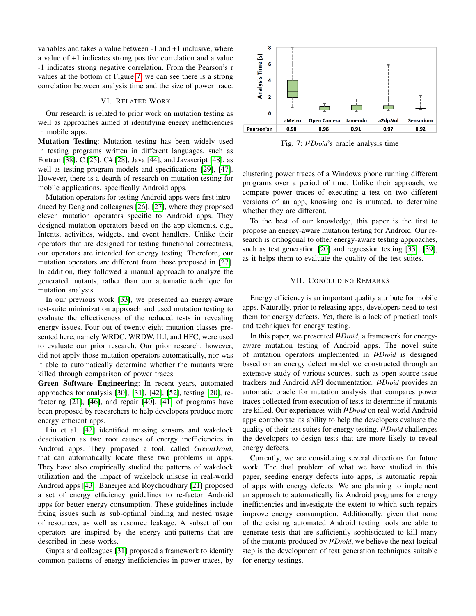variables and takes a value between -1 and +1 inclusive, where a value of +1 indicates strong positive correlation and a value -1 indicates strong negative correlation. From the Pearson's r values at the bottom of Figure [7,](#page-10-0) we can see there is a strong correlation between analysis time and the size of power trace.

# VI. RELATED WORK

Our research is related to prior work on mutation testing as well as approaches aimed at identifying energy inefficiencies in mobile apps.

Mutation Testing: Mutation testing has been widely used in testing programs written in different languages, such as Fortran [\[38\]](#page-11-37), C [\[25\]](#page-11-38), C# [\[28\]](#page-11-39), Java [\[44\]](#page-11-40), and Javascript [\[48\]](#page-11-41), as well as testing program models and specifications [\[29\]](#page-11-42), [\[47\]](#page-11-43). However, there is a dearth of research on mutation testing for mobile applications, specifically Android apps.

Mutation operators for testing Android apps were first introduced by Deng and colleagues [\[26\]](#page-11-44), [\[27\]](#page-11-45), where they proposed eleven mutation operators specific to Android apps. They designed mutation operators based on the app elements, e.g., Intents, activities, widgets, and event handlers. Unlike their operators that are designed for testing functional correctness, our operators are intended for energy testing. Therefore, our mutation operators are different from those proposed in [\[27\]](#page-11-45). In addition, they followed a manual approach to analyze the generated mutants, rather than our automatic technique for mutation analysis.

In our previous work [\[33\]](#page-11-46), we presented an energy-aware test-suite minimization approach and used mutation testing to evaluate the effectiveness of the reduced tests in revealing energy issues. Four out of twenty eight mutation classes presented here, namely WRDC, WRDW, ILI, and HFC, were used to evaluate our prior research. Our prior research, however, did not apply those mutation operators automatically, nor was it able to automatically determine whether the mutants were killed through comparison of power traces.

Green Software Engineering: In recent years, automated approaches for analysis [\[30\]](#page-11-13), [\[31\]](#page-11-47), [\[42\]](#page-11-5), [\[52\]](#page-11-7), testing [\[20\]](#page-11-11), refactoring [\[21\]](#page-11-12), [\[46\]](#page-11-48), and repair [\[40\]](#page-11-49), [\[41\]](#page-11-50) of programs have been proposed by researchers to help developers produce more energy efficient apps.

Liu et al. [\[42\]](#page-11-5) identified missing sensors and wakelock deactivation as two root causes of energy inefficiencies in Android apps. They proposed a tool, called *GreenDroid*, that can automatically locate these two problems in apps. They have also empirically studied the patterns of wakelock utilization and the impact of wakelock misuse in real-world Android apps [\[43\]](#page-11-6). Banerjee and Roychoudhury [\[21\]](#page-11-12) proposed a set of energy efficiency guidelines to re-factor Android apps for better energy consumption. These guidelines include fixing issues such as sub-optimal binding and nested usage of resources, as well as resource leakage. A subset of our operators are inspired by the energy anti-patterns that are described in these works.

Gupta and colleagues [\[31\]](#page-11-47) proposed a framework to identify common patterns of energy inefficiencies in power traces, by

<span id="page-10-0"></span>

Fig. 7: µ*Droid*'s oracle analysis time

clustering power traces of a Windows phone running different programs over a period of time. Unlike their approach, we compare power traces of executing a test on two different versions of an app, knowing one is mutated, to determine whether they are different.

To the best of our knowledge, this paper is the first to propose an energy-aware mutation testing for Android. Our research is orthogonal to other energy-aware testing approaches, such as test generation [\[20\]](#page-11-11) and regression testing [\[33\]](#page-11-46), [\[39\]](#page-11-51), as it helps them to evaluate the quality of the test suites.

# VII. CONCLUDING REMARKS

Energy efficiency is an important quality attribute for mobile apps. Naturally, prior to releasing apps, developers need to test them for energy defects. Yet, there is a lack of practical tools and techniques for energy testing.

In this paper, we presented  $\mu$ *Droid*, a framework for energyaware mutation testing of Android apps. The novel suite of mutation operators implemented in µ*Droid* is designed based on an energy defect model we constructed through an extensive study of various sources, such as open source issue trackers and Android API documentation. *µDroid* provides an automatic oracle for mutation analysis that compares power traces collected from execution of tests to determine if mutants are killed. Our experiences with  $\mu D$ *roid* on real-world Android apps corroborate its ability to help the developers evaluate the quality of their test suites for energy testing. µ*Droid* challenges the developers to design tests that are more likely to reveal energy defects.

Currently, we are considering several directions for future work. The dual problem of what we have studied in this paper, seeding energy defects into apps, is automatic repair of apps with energy defects. We are planning to implement an approach to automatically fix Android programs for energy inefficiencies and investigate the extent to which such repairs improve energy consumption. Additionally, given that none of the existing automated Android testing tools are able to generate tests that are sufficiently sophisticated to kill many of the mutants produced by  $\mu_{Droid}$ , we believe the next logical step is the development of test generation techniques suitable for energy testings.